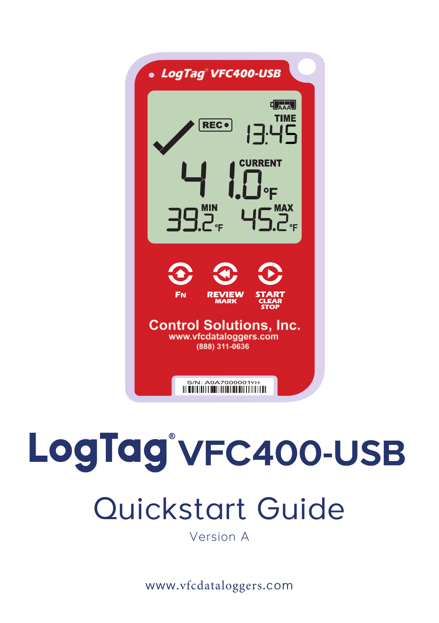

# LogTag<sup>®</sup>VFC400-USB

## Quickstart Guide

Version A

www.vfcdataloggers.com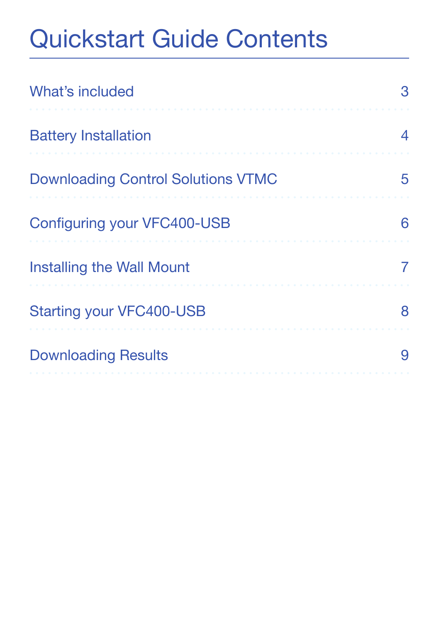## Quickstart Guide Contents

| What's included                           |  |
|-------------------------------------------|--|
| <b>Battery Installation</b>               |  |
| <b>Downloading Control Solutions VTMC</b> |  |
| Configuring your VFC400-USB               |  |
| Installing the Wall Mount                 |  |
| <b>Starting your VFC400-USB</b>           |  |
| <b>Downloading Results</b>                |  |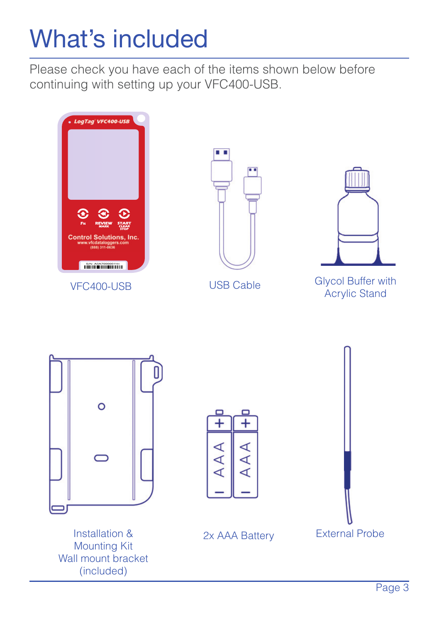## What's included

Please check you have each of the items shown below before continuing with setting up your VFC400-USB.

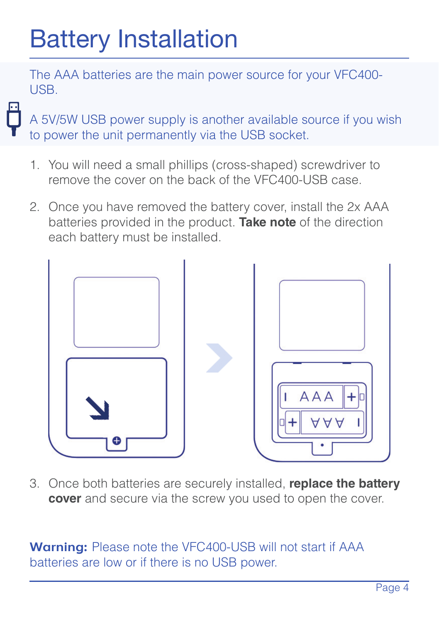## Battery Installation

The AAA batteries are the main power source for your VFC400- USB.

A 5V/5W USB power supply is another available source if you wish to power the unit permanently via the USB socket.

- 1. You will need a small phillips (cross-shaped) screwdriver to remove the cover on the back of the VFC400-USB case.
- 2. Once you have removed the battery cover, install the 2x AAA batteries provided in the product. **Take note** of the direction each battery must be installed.



3. Once both batteries are securely installed, **replace the battery cover** and secure via the screw you used to open the cover.

**Warning:** Please note the VFC400-USB will not start if AAA batteries are low or if there is no USB power.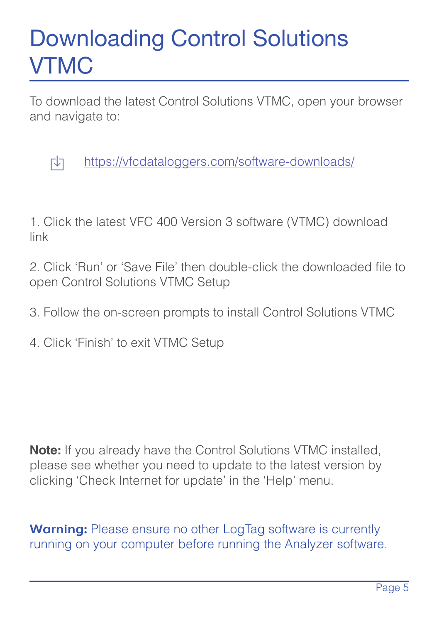#### Downloading Control Solutions VTMC

To download the latest Control Solutions VTMC, open your browser and navigate to:



https://vfcdataloggers.com/software-downloads/

1. Click the latest VFC 400 Version 3 software (VTMC) download link

2. Click 'Run' or 'Save File' then double-click the downloaded file to open Control Solutions VTMC Setup

3. Follow the on-screen prompts to install Control Solutions VTMC

4. Click 'Finish' to exit VTMC Setup

**Note:** If you already have the Control Solutions VTMC installed, please see whether you need to update to the latest version by clicking 'Check Internet for update' in the 'Help' menu.

**Warning:** Please ensure no other LogTag software is currently running on your computer before running the Analyzer software.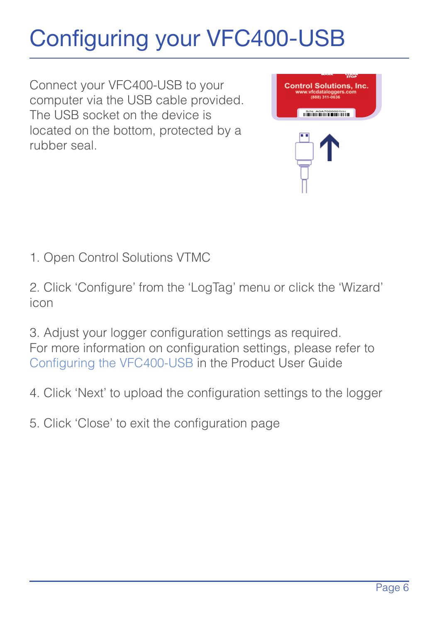### Configuring your VFC400-USB

Connect your VFC400-USB to your computer via the USB cable provided. The USB socket on the device is located on the bottom, protected by a rubber seal.



1. Open Control Solutions VTMC

2. Click 'Configure' from the 'LogTag' menu or click the 'Wizard' icon

3. Adjust your logger configuration settings as required. For more information on configuration settings, please refer to Configuring the VFC400-USB in the Product User Guide

- 4. Click 'Next' to upload the configuration settings to the logger
- 5. Click 'Close' to exit the configuration page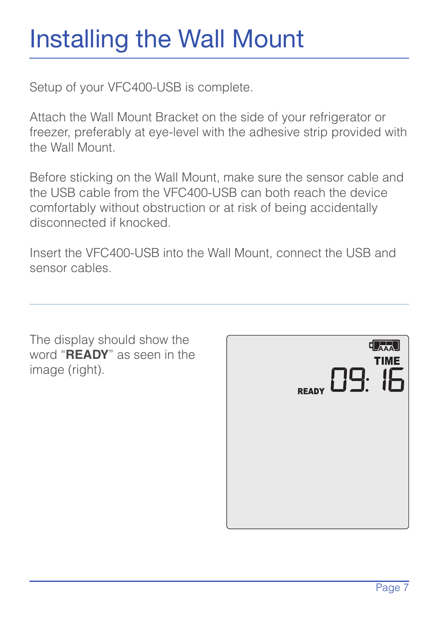## Installing the Wall Mount

Setup of your VFC400-USB is complete.

Attach the Wall Mount Bracket on the side of your refrigerator or freezer, preferably at eye-level with the adhesive strip provided with the Wall Mount.

Before sticking on the Wall Mount, make sure the sensor cable and the USB cable from the VFC400-USB can both reach the device comfortably without obstruction or at risk of being accidentally disconnected if knocked.

Insert the VFC400-USB into the Wall Mount, connect the USB and sensor cables.

The display should show the word "**READY**" as seen in the image (right)

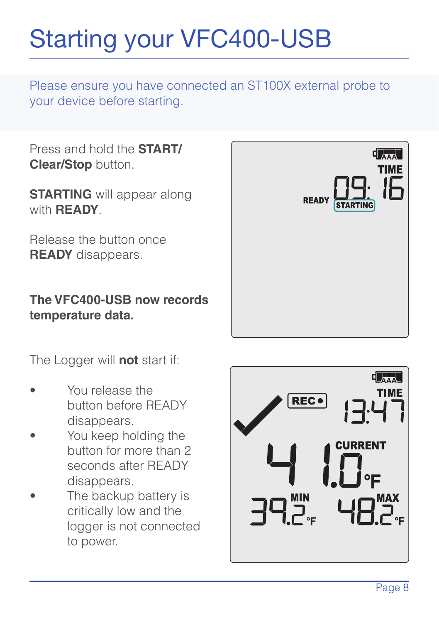## Starting your VFC400-USB

Please ensure you have connected an ST100X external probe to your device before starting.

Press and hold the **START/ Clear/Stop** button.

**STARTING** will appear along with **READY**.

Release the button once **READY** disappears.

**The VFC400-USB now records temperature data.**

The Logger will **not** start if:

- You release the button before READY disappears.
- You keep holding the button for more than 2 seconds after READY disappears.
- The backup battery is critically low and the logger is not connected to power.